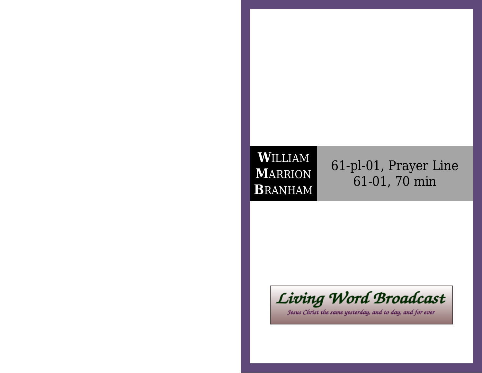## **W**ILLIAM **M**ARRION**B**RANHAM

## 61-pl-01, Prayer Line61-01, 70 min



Jesus Christ the same yesterday, and to day, and for ever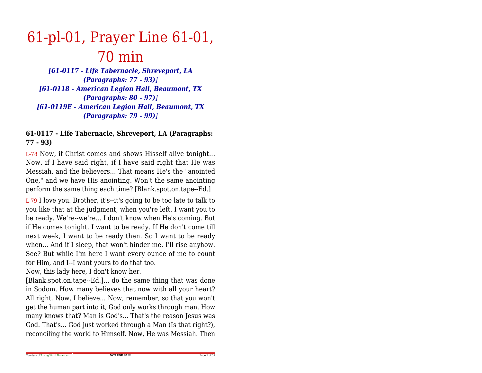# 61-pl-01, Prayer Line 61-01,70 min

 *[61-0117 - Life Tabernacle, Shreveport, LA(Paragraphs: 77 - 93)] [61-0118 - American Legion Hall, Beaumont, TX(Paragraphs: 80 - 97)] [61-0119E - American Legion Hall, Beaumont, TX(Paragraphs: 79 - 99)]*

### **61-0117 - Life Tabernacle, Shreveport, LA (Paragraphs:77 - 93)**

L-78 Now, if Christ comes and shows Hisself alive tonight... Now, if I have said right, if I have said right that He was Messiah, and the believers... That means He's the "anointed One," and we have His anointing. Won't the same anointingperform the same thing each time? [Blank.spot.on.tape--Ed.]

L-79 I love you. Brother, it's--it's going to be too late to talk to you like that at the judgment, when you're left. I want you to be ready. We're--we're... I don't know when He's coming. But if He comes tonight, I want to be ready. If He don't come tillnext week, I want to be ready then. So I want to be ready when... And if I sleep, that won't hinder me. I'll rise anyhow.See? But while I'm here I want every ounce of me to countfor Him, and I--I want yours to do that too.

Now, this lady here, I don't know her.

[Blank.spot.on.tape--Ed.]... do the same thing that was done in Sodom. How many believes that now with all your heart? All right. Now, I believe... Now, remember, so that you won't get the human part into it, God only works through man. How many knows that? Man is God's... That's the reason Jesus was God. That's... God just worked through a Man (Is that right?),reconciling the world to Himself. Now, He was Messiah. Then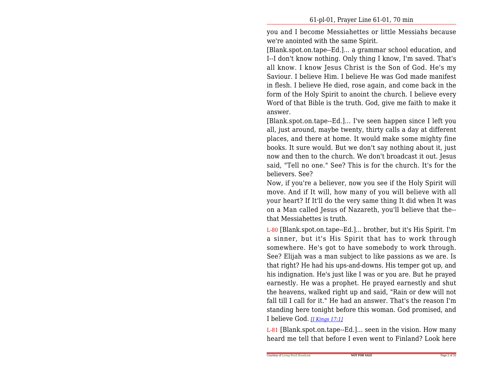you and I become Messiahettes or little Messiahs becausewe're anointed with the same Spirit.

[Blank.spot.on.tape--Ed.]... a grammar school education, and I--I don't know nothing. Only thing I know, I'm saved. That's all know. I know Jesus Christ is the Son of God. He's my Saviour. I believe Him. I believe He was God made manifest in flesh. I believe He died, rose again, and come back in the form of the Holy Spirit to anoint the church. I believe every Word of that Bible is the truth. God, give me faith to make itanswer.

[Blank.spot.on.tape--Ed.]... I've seen happen since I left you all, just around, maybe twenty, thirty calls a day at different places, and there at home. It would make some mighty fine books. It sure would. But we don't say nothing about it, just now and then to the church. We don't broadcast it out. Jesus said, "Tell no one." See? This is for the church. It's for thebelievers. See?

 Now, if you're a believer, now you see if the Holy Spirit will move. And if It will, how many of you will believe with allyour heart? If It'll do the very same thing It did when It was on a Man called Jesus of Nazareth, you'll believe that the-that Messiahettes is truth.

L-80 [Blank.spot.on.tape--Ed.]... brother, but it's His Spirit. I'm a sinner, but it's His Spirit that has to work through somewhere. He's got to have somebody to work through.See? Elijah was a man subject to like passions as we are. Is that right? He had his ups-and-downs. His temper got up, and his indignation. He's just like I was or you are. But he prayed earnestly. He was a prophet. He prayed earnestly and shut the heavens, walked right up and said, "Rain or dew will not fall till I call for it." He had an answer. That's the reason I'm standing here tonight before this woman. God promised, andI believe God. *[I Kings 17:1]*

L-81 [Blank.spot.on.tape--Ed.]... seen in the vision. How manyheard me tell that before I even went to Finland? Look here

**NOT FOR SALE**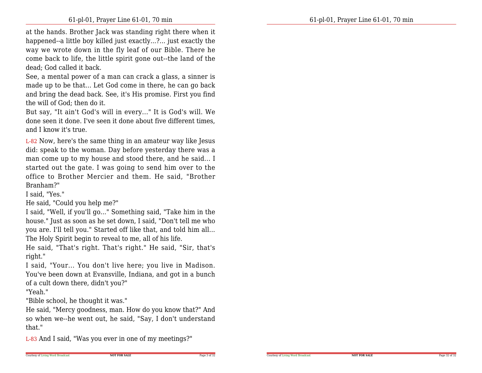at the hands. Brother Jack was standing right there when it happened--a little boy killed just exactly...?... just exactly the way we wrote down in the fly leaf of our Bible. There he come back to life, the little spirit gone out--the land of thedead; God called it back.

See, a mental power of a man can crack a glass, a sinner is made up to be that... Let God come in there, he can go back and bring the dead back. See, it's His promise. First you findthe will of God; then do it.

 But say, "It ain't God's will in every..." It is God's will. We done seen it done. I've seen it done about five different times,and I know it's true.

L-82 Now, here's the same thing in an amateur way like Jesus did: speak to the woman. Day before yesterday there was a man come up to my house and stood there, and he said... I started out the gate. I was going to send him over to the office to Brother Mercier and them. He said, "BrotherBranham?"

I said, "Yes."

He said, "Could you help me?"

 I said, "Well, if you'll go..." Something said, "Take him in the house." Just as soon as he set down, I said, "Don't tell me who you are. I'll tell you." Started off like that, and told him all...The Holy Spirit begin to reveal to me, all of his life.

 He said, "That's right. That's right." He said, "Sir, that'sright."

 I said, "Your... You don't live here; you live in Madison. You've been down at Evansville, Indiana, and got in a bunchof a cult down there, didn't you?"

"Yeah."

"Bible school, he thought it was."

 He said, "Mercy goodness, man. How do you know that?" And so when we--he went out, he said, "Say, I don't understandthat."

L-83 And I said, "Was you ever in one of my meetings?"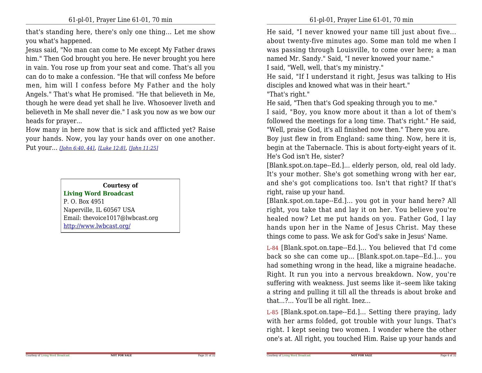that's standing here, there's only one thing... Let me showyou what's happened.

 Jesus said, "No man can come to Me except My Father draws him." Then God brought you here. He never brought you here in vain. You rose up from your seat and come. That's all you can do to make a confession. "He that will confess Me before men, him will I confess before My Father and the holy Angels." That's what He promised. "He that believeth in Me,though he were dead yet shall he live. Whosoever liveth and believeth in Me shall never die." I ask you now as we bow ourheads for prayer...

 How many in here now that is sick and afflicted yet? Raise your hands. Now, you lay your hands over on one another.Put your... *[John 6:40, 44]*, *[Luke 12:8]*, *[John 11:25]*

#### **Courtesy of**

**Living Word Broadcast**P. O. Box 4951 Naperville, IL 60567 USA Email: thevoice1017@lwbcast.orghttp://www.lwbcast.org/

He said, "I never knowed your name till just about five...about twenty-five minutes ago. Some man told me when I was passing through Louisville, to come over here; a mannamed Mr. Sandy." Said, "I never knowed your name."

I said, "Well, well, that's my ministry."

 He said, "If I understand it right, Jesus was talking to Hisdisciples and knowed what was in their heart."

"That's right."

Courtesy of Living Word Broadcast

He said, "Then that's God speaking through you to me."

 I said, "Boy, you know more about it than a lot of them's followed the meetings for a long time. That's right." He said,"Well, praise God, it's all finished now then." There you are.

Boy just flew in from England: same thing. Now, here it is, begin at the Tabernacle. This is about forty-eight years of it.He's God isn't He, sister?

 [Blank.spot.on.tape--Ed.]... elderly person, old, real old lady.It's your mother. She's got something wrong with her ear,and she's got complications too. Isn't that right? If that'sright, raise up your hand.

[Blank.spot.on.tape--Ed.]... you got in your hand here? All right, you take that and lay it on her. You believe you're healed now? Let me put hands on you. Father God, I lay hands upon her in the Name of Jesus Christ. May thesethings come to pass. We ask for God's sake in Jesus' Name.

L-84 [Blank.spot.on.tape--Ed.]... You believed that I'd come back so she can come up... [Blank.spot.on.tape--Ed.]... you had something wrong in the head, like a migraine headache. Right. It run you into a nervous breakdown. Now, you're suffering with weakness. Just seems like it--seem like taking a string and pulling it till all the threads is about broke andthat...?... You'll be all right. Inez...

L-85 [Blank.spot.on.tape--Ed.]... Setting there praying, lady with her arms folded, got trouble with your lungs. That's right. I kept seeing two women. I wonder where the otherone's at. All right, you touched Him. Raise up your hands and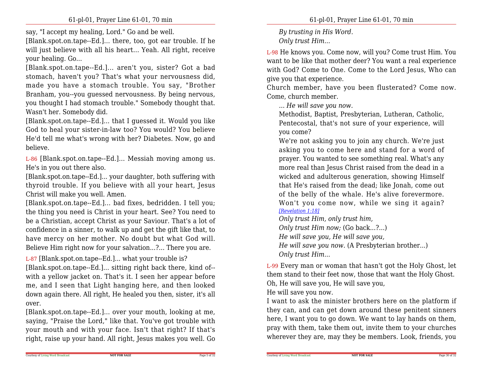say, "I accept my healing, Lord." Go and be well.

[Blank.spot.on.tape--Ed.]... there, too, got ear trouble. If he will just believe with all his heart... Yeah. All right, receiveyour healing. Go...

[Blank.spot.on.tape--Ed.]... aren't you, sister? Got <sup>a</sup> bad stomach, haven't you? That's what your nervousness did,made you have <sup>a</sup> stomach trouble. You say, "Brother Branham, you--you guessed nervousness. By being nervous,you thought I had stomach trouble." Somebody thought that.Wasn't her. Somebody did.

[Blank.spot.on.tape--Ed.]... that I guessed it. Would you like God to heal your sister-in-law too? You would? You believe He'd tell me what's wrong with her? Diabetes. Now, go andbelieve.

L-86 [Blank.spot.on.tape--Ed.]... Messiah moving among us.He's in you out there also.

 [Blank.spot.on.tape--Ed.]... your daughter, both suffering with thyroid trouble. If you believe with all your heart, JesusChrist will make you well. Amen.

[Blank.spot.on.tape--Ed.]... bad fixes, bedridden. I tell you; the thing you need is Christ in your heart. See? You need to be a Christian, accept Christ as your Saviour. That's a lot of confidence in a sinner, to walk up and get the gift like that, to have mercy on her mother. No doubt but what God will.Believe Him right now for your salvation...?... There you are.

L-87 [Blank.spot.on.tape--Ed.]... what your trouble is?

 [Blank.spot.on.tape--Ed.]... sitting right back there, kind of- with a yellow jacket on. That's it. I seen her appear before me, and I seen that Light hanging here, and then looked down again there. All right, He healed you then, sister, it's allover.

 [Blank.spot.on.tape--Ed.]... over your mouth, looking at me, saying, "Praise the Lord," like that. You've got trouble with your mouth and with your face. Isn't that right? If that'sright, raise up your hand. All right, Jesus makes you well. Go *By trusting in His Word.Only trust Him...*

L-98 He knows you. Come now, will you? Come trust Him. You want to be like that mother deer? You want a real experience with God? Come to One. Come to the Lord Jesus, Who cangive you that experience.

Church member, have you been flusterated? Come now.Come, church member.

*... He will save you now.*

 Methodist, Baptist, Presbyterian, Lutheran, Catholic,Pentecostal, that's not sure of your experience, willyou come?

 We're not asking you to join any church. We're just asking you to come here and stand for a word of prayer. You wanted to see something real. What's any more real than Jesus Christ raised from the dead in a wicked and adulterous generation, showing Himself that He's raised from the dead; like Jonah, come out of the belly of the whale. He's alive forevermore.Won't you come now, while we sing it again?*[Revelation 1:18]*

*Only trust Him, only trust him,*

*Only trust Him now;* (Go back...?...)

*He will save you, He will save you,*

*He will save you now.* (A Presbyterian brother...) *Only trust Him...*

L-99 Every man or woman that hasn't got the Holy Ghost, let them stand to their feet now, those that want the Holy Ghost.Oh, He will save you, He will save you,

He will save you now.

Courtesy of Living Word Broadcast

I want to ask the minister brothers here on the platform if they can, and can get down around these penitent sinners here, I want you to go down. We want to lay hands on them,pray with them, take them out, invite them to your churcheswherever they are, may they be members. Look, friends, you

Page 5 of 32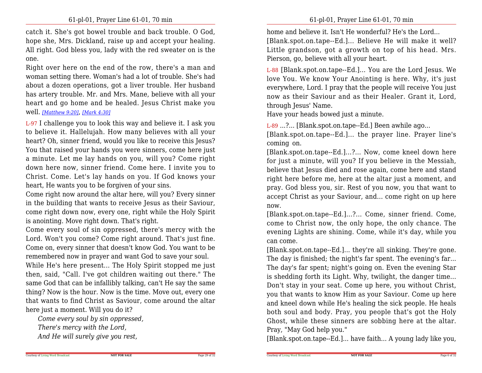catch it. She's got bowel trouble and back trouble. O God,hope she, Mrs. Dickland, raise up and accept your healing. All right. God bless you, lady with the red sweater on is theone.

Right over here on the end of the row, there's a man and woman setting there. Woman's had a lot of trouble. She's had about a dozen operations, got a liver trouble. Her husband has artery trouble. Mr. and Mrs. Mane, believe with all your heart and go home and be healed. Jesus Christ make youwell. *[Matthew 9:20]*, *[Mark 4:30]*

L-97 I challenge you to look this way and believe it. I ask you to believe it. Hallelujah. How many believes with all your heart? Oh, sinner friend, would you like to receive this Jesus? You that raised your hands you were sinners, come here just a minute. Let me lay hands on you, will you? Come right down here now, sinner friend. Come here. I invite you to Christ. Come. Let's lay hands on you. If God knows yourheart, He wants you to be forgiven of your sins.

 Come right now around the altar here, will you? Every sinner in the building that wants to receive Jesus as their Saviour, come right down now, every one, right while the Holy Spiritis anointing. Move right down. That's right.

 Come every soul of sin oppressed, there's mercy with the Lord. Won't you come? Come right around. That's just fine. Come on, every sinner that doesn't know God. You want to beremembered now in prayer and want God to save your soul.

While He's here present... The Holy Spirit stopped me just then, said, "Call. I've got children waiting out there." The same God that can be infallibly talking, can't He say the same thing? Now is the hour. Now is the time. Move out, every one that wants to find Christ as Saviour, come around the altarhere just a moment. Will you do it?

**NOT FOR SALE**

*Come every soul by sin oppressed,*

*There's mercy with the Lord,*

*And He will surely give you rest,*

home and believe it. Isn't He wonderful? He's the Lord...

[Blank.spot.on.tape--Ed.]... Believe He will make it well? Little grandson, got a growth on top of his head. Mrs.Pierson, go, believe with all your heart.

L-88 [Blank.spot.on.tape--Ed.]... You are the Lord Jesus. We love You. We know Your Anointing is here. Why, it's just everywhere, Lord. I pray that the people will receive You just now as their Saviour and as their Healer. Grant it, Lord,through Jesus' Name.

Have your heads bowed just a minute.

L-89 ...?... [Blank.spot.on.tape--Ed.] Been awhile ago...

 [Blank.spot.on.tape--Ed.]... the prayer line. Prayer line's coming on.

[Blank.spot.on.tape--Ed.]...?... Now, come kneel down here for just a minute, will you? If you believe in the Messiah, believe that Jesus died and rose again, come here and stand right here before me, here at the altar just a moment, and pray. God bless you, sir. Rest of you now, you that want to accept Christ as your Saviour, and... come right on up herenow.

 [Blank.spot.on.tape--Ed.]...?... Come, sinner friend. Come, come to Christ now, the only hope, the only chance. The evening Lights are shining. Come, while it's day, while youcan come.

 [Blank.spot.on.tape--Ed.]... they're all sinking. They're gone. The day is finished; the night's far spent. The evening's far...The day's far spent; night's going on. Even the evening Star is shedding forth its Light. Why, twilight, the danger time...Don't stay in your seat. Come up here, you without Christ, you that wants to know Him as your Saviour. Come up here and kneel down while He's healing the sick people. He heals both soul and body. Pray, you people that's got the Holy Ghost, while these sinners are sobbing here at the altar.Pray, "May God help you."

[Blank.spot.on.tape--Ed.]... have faith... A young lady like you,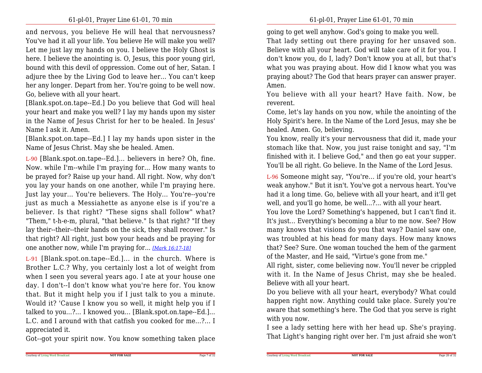and nervous, you believe He will heal that nervousness? You've had it all your life. You believe He will make you well? Let me just lay my hands on you. I believe the Holy Ghost is here. I believe the anointing is. O, Jesus, this poor young girl,bound with this devil of oppression. Come out of her, Satan. I adjure thee by the Living God to leave her... You can't keep her any longer. Depart from her. You're going to be well now.Go, believe with all your heart.

[Blank.spot.on.tape--Ed.] Do you believe that God will heal your heart and make you well? I lay my hands upon my sister in the Name of Jesus Christ for her to be healed. In Jesus'Name I ask it. Amen.

[Blank.spot.on.tape--Ed.] I lay my hands upon sister in theName of Jesus Christ. May she be healed. Amen.

L-90 [Blank.spot.on.tape--Ed.]... believers in here? Oh, fine.Now. while I'm--while I'm praying for... How many wants to be prayed for? Raise up your hand. All right. Now, why don't you lay your hands on one another, while I'm praying here. Just lay your... You're believers. The Holy... You're--you're just as much a Messiahette as anyone else is if you're a believer. Is that right? "These signs shall follow" what? "Them," t-h-e-m, plural, "that believe." Is that right? "If they lay their--their--their hands on the sick, they shall recover." Is that right? All right, just bow your heads and be praying forone another now, while I'm praying for... *[Mark 16:17-18]*

L-91 [Blank.spot.on.tape--Ed.]... in the church. Where is Brother L.C.? Why, you certainly lost a lot of weight from when I seen you several years ago. I ate at your house one day. I don't--I don't know what you're here for. You know that. But it might help you if I just talk to you a minute.Would it? 'Cause I know you so well, it might help you if I talked to you...?... I knowed you... [Blank.spot.on.tape--Ed.]... L.C. and I around with that catfish you cooked for me...?... Iappreciated it.

Got--got your spirit now. You know something taken place

going to get well anyhow. God's going to make you well.

That lady setting out there praying for her unsaved son. Believe with all your heart. God will take care of it for you. I don't know you, do I, lady? Don't know you at all, but that's what you was praying about. How did I know what you was praying about? The God that hears prayer can answer prayer.Amen.

 You believe with all your heart? Have faith. Now, bereverent.

 Come, let's lay hands on you now, while the anointing of the Holy Spirit's here. In the Name of the Lord Jesus, may she behealed. Amen. Go, believing.

You know, really it's your nervousness that did it, made your stomach like that. Now, you just raise tonight and say, "I'm finished with it. I believe God," and then go eat your supper.You'll be all right. Go believe. In the Name of the Lord Jesus.

L-96 Someone might say, "You're... if you're old, your heart's weak anyhow." But it isn't. You've got a nervous heart. You've had it a long time. Go, believe with all your heart, and it'll getwell, and you'll go home, be well...?... with all your heart.

 You love the Lord? Something's happened, but I can't find it.It's just... Everything's becoming a blur to me now. See? How many knows that visions do you that way? Daniel saw one,was troubled at his head for many days. How many knows that? See? Sure. One woman touched the hem of the garmentof the Master, and He said, "Virtue's gone from me."

 All right, sister, come believing now. You'll never be crippled with it. In the Name of Jesus Christ, may she be healed.Believe with all your heart.

 Do you believe with all your heart, everybody? What could happen right now. Anything could take place. Surely you're aware that something's here. The God that you serve is rightwith you now.

 I see a lady setting here with her head up. She's praying.That Light's hanging right over her. I'm just afraid she won't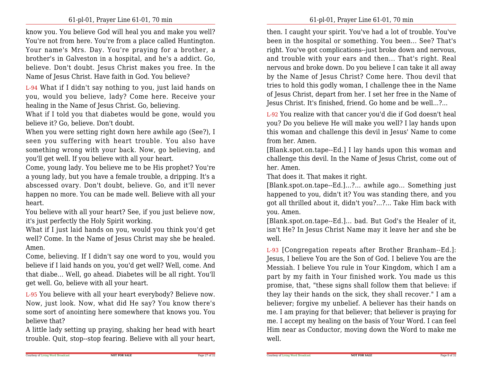know you. You believe God will heal you and make you well? You're not from here. You're from a place called Huntington.Your name's Mrs. Day. You're praying for a brother, a brother's in Galveston in a hospital, and he's a addict. Go,believe. Don't doubt. Jesus Christ makes you free. In theName of Jesus Christ. Have faith in God. You believe?

L-94 What if I didn't say nothing to you, just laid hands on you, would you believe, lady? Come here. Receive yourhealing in the Name of Jesus Christ. Go, believing.

 What if I told you that diabetes would be gone, would youbelieve it? Go, believe. Don't doubt.

 When you were setting right down here awhile ago (See?), I seen you suffering with heart trouble. You also have something wrong with your back. Now, go believing, andyou'll get well. If you believe with all your heart.

Come, young lady. You believe me to be His prophet? You're a young lady, but you have a female trouble, a dripping. It's a abscessed ovary. Don't doubt, believe. Go, and it'll never happen no more. You can be made well. Believe with all yourheart.

 You believe with all your heart? See, if you just believe now,it's just perfectly the Holy Spirit working.

 What if I just laid hands on you, would you think you'd get well? Come. In the Name of Jesus Christ may she be healed.Amen.

Come, believing. If I didn't say one word to you, would you believe if I laid hands on you, you'd get well? Well, come. And that diabe... Well, go ahead. Diabetes will be all right. You'llget well. Go, believe with all your heart.

L-95 You believe with all your heart everybody? Believe now. Now, just look. Now, what did He say? You know there's some sort of anointing here somewhere that knows you. Youbelieve that?

 A little lady setting up praying, shaking her head with hearttrouble. Quit, stop--stop fearing. Believe with all your heart,

then. I caught your spirit. You've had a lot of trouble. You've been in the hospital or something. You been... See? That's right. You've got complications--just broke down and nervous,and trouble with your ears and then... That's right. Real nervous and broke down. Do you believe I can take it all away by the Name of Jesus Christ? Come here. Thou devil that tries to hold this godly woman, I challenge thee in the Name of Jesus Christ, depart from her. I set her free in the Name ofJesus Christ. It's finished, friend. Go home and be well...?...

L-92 You realize with that cancer you'd die if God doesn't healyou? Do you believe He will make you well? I lay hands upon this woman and challenge this devil in Jesus' Name to comefrom her. Amen.

 [Blank.spot.on.tape--Ed.] I lay hands upon this woman and challenge this devil. In the Name of Jesus Christ, come out ofher. Amen.

That does it. That makes it right.

Courtesy of Living Word Broadcast

 [Blank.spot.on.tape--Ed.]...?... awhile ago... Something just happened to you, didn't it? You was standing there, and you got all thrilled about it, didn't you?...?... Take Him back withyou. Amen.

[Blank.spot.on.tape--Ed.]... bad. But God's the Healer of it, isn't He? In Jesus Christ Name may it leave her and she bewell.

L-93 [Congregation repeats after Brother Branham--Ed.]: Jesus, I believe You are the Son of God. I believe You are the Messiah. I believe You rule in Your Kingdom, which I am a part by my faith in Your finished work. You made us this promise, that, "these signs shall follow them that believe: if they lay their hands on the sick, they shall recover." I am a believer; forgive my unbelief. A believer has their hands on me. I am praying for that believer; that believer is praying for me. I accept my healing on the basis of Your Word. I can feel Him near as Conductor, moving down the Word to make mewell.

Page 27 of 32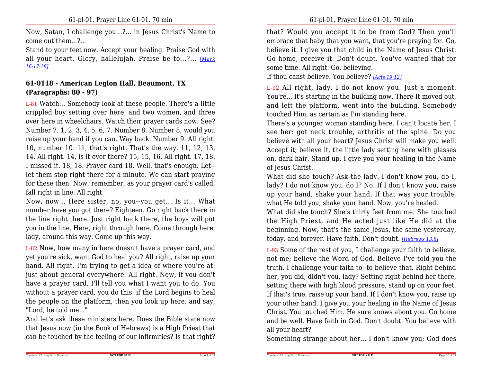Now, Satan, I challenge you...?... in Jesus Christ's Name tocome out them...?...

 Stand to your feet now. Accept your healing. Praise God with all your heart. Glory, hallelujah. Praise be to...?... *[Mark16:17-18]*

## **61-0118 - American Legion Hall, Beaumont, TX(Paragraphs: 80 - 97)**

L-81 Watch... Somebody look at these people. There's a little crippled boy setting over here, and two women, and three over here in wheelchairs. Watch their prayer cards now. See? Number 7. 1, 2, 3, 4, 5, 6, 7. Number 8. Number 8, would you raise up your hand if you can. Way back. Number 9. All right.10, number 10. 11, that's right. That's the way. 11, 12, 13, 14. All right. 14, is it over there? 15, 15, 16. All right. 17, 18.I missed it. 18, 18. Prayer card 18. Well, that's enough. Let- let them stop right there for a minute. We can start praying for these then. Now, remember, as your prayer card's called,fall right in line. All right.

Now, now... Here sister, no, you--you get... Is it... What number have you got there? Eighteen. Go right back there in the line right there. Just right back there, the boys will put you in the line. Here, right through here. Come through here,lady, around this way. Come up this way.

L-82 Now, how many in here doesn't have a prayer card, and yet you're sick, want God to heal you? All right, raise up your hand. All right. I'm trying to get a idea of where you're at: just about general everywhere. All right. Now, if you don't have a prayer card, I'll tell you what I want you to do. You without a prayer card, you do this: if the Lord begins to healthe people on the platform, then you look up here, and say,"Lord, he told me..."

 And let's ask these ministers here. Does the Bible state now that Jesus now (in the Book of Hebrews) is a High Priest thatcan be touched by the feeling of our infirmities? Is that right? that? Would you accept it to be from God? Then you'llembrace that baby that you want, that you're praying for. Go, believe it. I give you that child in the Name of Jesus Christ.Go home, receive it. Don't doubt. You've wanted that forsome time. All right. Go, believing.

If thou canst believe. You believe? *[Acts 19:12]*

L-92 All right, lady. I do not know you. Just a moment.You're... It's starting in the building now. There It moved out,and left the platform, went into the building. Somebodytouched Him, as certain as I'm standing here.

There's a younger woman standing here. I can't locate her. I see her: got neck trouble, arthritis of the spine. Do you believe with all your heart? Jesus Christ will make you well. Accept it; believe it, the little lady setting here with glasses on, dark hair. Stand up. I give you your healing in the Nameof Jesus Christ.

 What did she touch? Ask the lady. I don't know you, do I,lady? I do not know you, do I? No. If I don't know you, raise up your hand, shake your hand. If that was your trouble,what He told you, shake your hand. Now, you're healed.

 What did she touch? She's thirty feet from me. She touched the High Priest, and He acted just like He did at the beginning. Now, that's the same Jesus, the same yesterday,today, and forever. Have faith. Don't doubt. *[Hebrews 13:8]*

L-93 Some of the rest of you, I challenge your faith to believe, not me; believe the Word of God. Believe I've told you the truth. I challenge your faith to--to believe that. Right behind her, you did, didn't you, lady? Setting right behind her there,setting there with high blood pressure, stand up on your feet. If that's true, raise up your hand. If I don't know you, raise up your other hand. I give you your healing in the Name of Jesus Christ. You touched Him. He sure knows about you. Go home and be well. Have faith in God. Don't doubt. You believe withall your heart?

Something strange about her... I don't know you; God does

**NOT FOR SALE**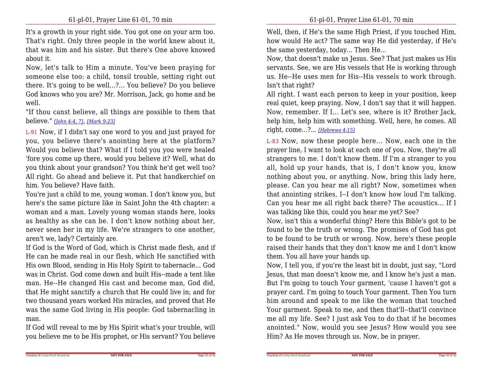It's a growth in your right side. You got one on your arm too.That's right. Only three people in the world knew about it, that was him and his sister. But there's One above knowedabout it.

Now, let's talk to Him a minute. You've been praying for someone else too: a child, tonsil trouble, setting right out there. It's going to be well...?... You believe? Do you believe God knows who you are? Mr. Morrison, Jack, go home and bewell.

 "If thou canst believe, all things are possible to them thatbelieve." *[John 4:4, 7]*, *[Mark 9:23]*

L-91 Now, if I didn't say one word to you and just prayed for you, you believe there's anointing here at the platform? Would you believe that? What if I told you you were healed 'fore you come up there, would you believe it? Well, what do you think about your grandson? You think he'd get well too? All right. Go ahead and believe it. Put that handkerchief onhim. You believe? Have faith.

You're just a child to me, young woman. I don't know you, but here's the same picture like in Saint John the 4th chapter: a woman and a man. Lovely young woman stands here, looks as healthy as she can be. I don't know nothing about her, never seen her in my life. We're strangers to one another,aren't we, lady? Certainly are.

 If God is the Word of God, which is Christ made flesh, and if He can be made real in our flesh, which He sanctified with His own Blood, sending in His Holy Spirit to tabernacle... God was in Christ. God come down and built His--made a tent like man. He--He changed His cast and become man, God did, that He might sanctify a church that He could live in; and for two thousand years worked His miracles, and proved that He was the same God living in His people: God tabernacling inman.

 If God will reveal to me by His Spirit what's your trouble, willyou believe me to be His prophet, or His servant? You believe Well, then, if He's the same High Priest, if you touched Him,how would He act? The same way He did yesterday, if He'sthe same yesterday, today... Then He...

Now, that doesn't make us Jesus. See? That just makes us His servants. See, we are His vessels that He is working through us. He--He uses men for His--His vessels to work through.Isn't that right?

 All right. I want each person to keep in your position, keep real quiet, keep praying. Now, I don't say that it will happen. Now, remember. If I... Let's see, where is it? Brother Jack,help him, help him with something. Well, here, he comes. Allright, come...?... *[Hebrews 4:15]*

L-83 Now, now these people here... Now, each one in the prayer line, I want to look at each one of you. Now, they're allstrangers to me. I don't know them. If I'm a stranger to you all, hold up your hands, that is, I don't know you, know nothing about you, or anything. Now, bring this lady here,please. Can you hear me all right? Now, sometimes when that anointing strikes, I--I don't know how loud I'm talking.Can you hear me all right back there? The acoustics... If Iwas talking like this, could you hear me yet? See?

 Now, isn't this a wonderful thing? Here this Bible's got to be found to be the truth or wrong. The promises of God has got to be found to be truth or wrong. Now, here's these people raised their hands that they don't know me and I don't knowthem. You all have your hands up.

Now, I tell you, if you're the least bit in doubt, just say, "Lord Jesus, that man doesn't know me, and I know he's just a man.But I'm going to touch Your garment, 'cause I haven't got a prayer card. I'm going to touch Your garment. Then You turn him around and speak to me like the woman that touched Your garment. Speak to me, and then that'll--that'll convince me all my life. See? I just ask You to do that if he becomes anointed." Now, would you see Jesus? How would you seeHim? As He moves through us. Now, be in prayer.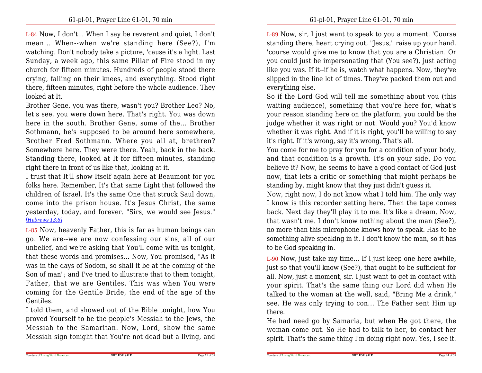L-84 Now, I don't... When I say be reverent and quiet, I don't mean... When--when we're standing here (See?), I'm watching. Don't nobody take a picture, 'cause it's a light. Last Sunday, a week ago, this same Pillar of Fire stood in my church for fifteen minutes. Hundreds of people stood there crying, falling on their knees, and everything. Stood right there, fifteen minutes, right before the whole audience. Theylooked at It.

Brother Gene, you was there, wasn't you? Brother Leo? No, let's see, you were down here. That's right. You was down here in the south. Brother Gene, some of the... Brother Sothmann, he's supposed to be around here somewhere,Brother Fred Sothmann. Where you all at, brethren? Somewhere here. They were there. Yeah, back in the back.Standing there, looked at It for fifteen minutes, standingright there in front of us like that, looking at it.

 I trust that It'll show Itself again here at Beaumont for you folks here. Remember, It's that same Light that followed the children of Israel. It's the same One that struck Saul down,come into the prison house. It's Jesus Christ, the same yesterday, today, and forever. "Sirs, we would see Jesus."*[Hebrews 13:8]*

L-85 Now, heavenly Father, this is far as human beings can go. We are--we are now confessing our sins, all of our unbelief, and we're asking that You'll come with us tonight, that these words and promises... Now, You promised, "As it was in the days of Sodom, so shall it be at the coming of the Son of man"; and I've tried to illustrate that to them tonight, Father, that we are Gentiles. This was when You were coming for the Gentile Bride, the end of the age of theGentiles.

I told them, and showed out of the Bible tonight, how You proved Yourself to be the people's Messiah to the Jews, the Messiah to the Samaritan. Now, Lord, show the sameMessiah sign tonight that You're not dead but a living, and

L-89 Now, sir, I just want to speak to you a moment. 'Course standing there, heart crying out, "Jesus," raise up your hand, 'course would give me to know that you are a Christian. Or you could just be impersonating that (You see?), just acting like you was. If it--if he is, watch what happens. Now, they've slipped in the line lot of times. They've packed them out andeverything else.

 So if the Lord God will tell me something about you (this waiting audience), something that you're here for, what's your reason standing here on the platform, you could be the judge whether it was right or not. Would you? You'd know whether it was right. And if it is right, you'll be willing to sayit's right. If it's wrong, say it's wrong. That's all.

 You come for me to pray for you for a condition of your body,and that condition is a growth. It's on your side. Do you believe it? Now, he seems to have a good contact of God just now, that lets a critic or something that might perhaps bestanding by, might know that they just didn't guess it.

 Now, right now, I do not know what I told him. The only way I know is this recorder setting here. Then the tape comes back. Next day they'll play it to me. It's like a dream. Now,that wasn't me. I don't know nothing about the man (See?), no more than this microphone knows how to speak. Has to be something alive speaking in it. I don't know the man, so it hasto be God speaking in.

L-90 Now, just take my time... If I just keep one here awhile,just so that you'll know (See?), that ought to be sufficient for all. Now, just a moment, sir. I just want to get in contact with your spirit. That's the same thing our Lord did when He talked to the woman at the well, said, "Bring Me a drink," see. He was only trying to con... The Father sent Him upthere.

He had need go by Samaria, but when He got there, the woman come out. So He had to talk to her, to contact herspirit. That's the same thing I'm doing right now. Yes, I see it.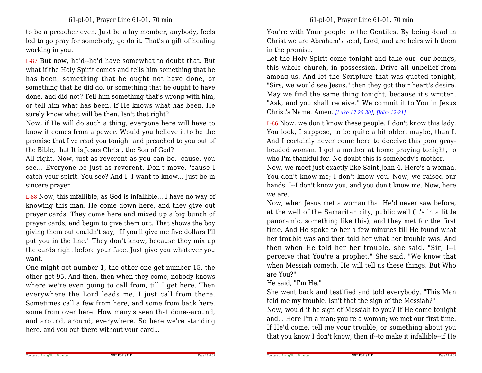to be a preacher even. Just be a lay member, anybody, feels led to go pray for somebody, go do it. That's a gift of healingworking in you.

L-87 But now, he'd--he'd have somewhat to doubt that. But what if the Holy Spirit comes and tells him something that he has been, something that he ought not have done, or something that he did do, or something that he ought to have done, and did not? Tell him something that's wrong with him,or tell him what has been. If He knows what has been, Hesurely know what will be then. Isn't that right?

 Now, if He will do such a thing, everyone here will have to know it comes from a power. Would you believe it to be the promise that I've read you tonight and preached to you out ofthe Bible, that It is Jesus Christ, the Son of God?

 All right. Now, just as reverent as you can be, 'cause, you see... Everyone be just as reverent. Don't move, 'cause I catch your spirit. You see? And I--I want to know... Just be insincere prayer.

L-88 Now, this infallible, as God is infallible... I have no way of knowing this man. He come down here, and they give out prayer cards. They come here and mixed up a big bunch of prayer cards, and begin to give them out. That shows the boy giving them out couldn't say, "If you'll give me five dollars I'llput you in the line." They don't know, because they mix up the cards right before your face. Just give you whatever youwant.

One might get number 1, the other one get number 15, the other get 95. And then, then when they come, nobody knows where we're even going to call from, till I get here. Then everywhere the Lord leads me, I just call from there.Sometimes call a few from here, and some from back here, some from over here. How many's seen that done--around, and around, around, everywhere. So here we're standinghere, and you out there without your card...

You're with Your people to the Gentiles. By being dead in Christ we are Abraham's seed, Lord, and are heirs with themin the promise.

Let the Holy Spirit come tonight and take our--our beings,this whole church, in possession. Drive all unbelief from among us. And let the Scripture that was quoted tonight,"Sirs, we would see Jesus," then they got their heart's desire.May we find the same thing tonight, because it's written,"Ask, and you shall receive." We commit it to You in JesusChrist's Name. Amen. *[Luke 17:26-30]*, *[John 12:21]*

L-86 Now, we don't know these people. I don't know this lady.You look, I suppose, to be quite a bit older, maybe, than I.And I certainly never come here to deceive this poor grayheaded woman. I got a mother at home praying tonight, towho I'm thankful for. No doubt this is somebody's mother.

Now, we meet just exactly like Saint John 4. Here's a woman. You don't know me; I don't know you. Now, we raised our hands. I--I don't know you, and you don't know me. Now, herewe are.

Now, when Jesus met a woman that He'd never saw before, at the well of the Samaritan city, public well (it's in a little panoramic, something like this), and they met for the first time. And He spoke to her a few minutes till He found what her trouble was and then told her what her trouble was. And then when He told her her trouble, she said, "Sir, I--I perceive that You're a prophet." She said, "We know that when Messiah cometh, He will tell us these things. But Whoare You?"

### He said, "I'm He."

Courtesy of Living Word Broadcast

 She went back and testified and told everybody. "This Mantold me my trouble. Isn't that the sign of the Messiah?"

 Now, would it be sign of Messiah to you? If He come tonight and... Here I'm a man; you're a woman; we met our first time. If He'd come, tell me your trouble, or something about youthat you know I don't know, then if--to make it infallible--if He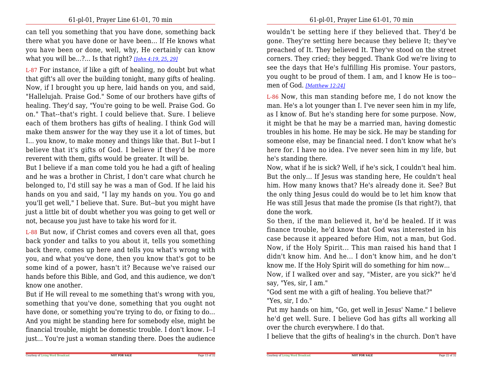can tell you something that you have done, something back there what you have done or have been... If He knows what you have been or done, well, why, He certainly can knowwhat you will be...?... Is that right? *[John 4:19, 25, 29]*

L-87 For instance, if like a gift of healing, no doubt but what that gift's all over the building tonight, many gifts of healing.Now, if I brought you up here, laid hands on you, and said,"Hallelujah. Praise God." Some of our brothers have gifts of healing. They'd say, "You're going to be well. Praise God. Go on." That--that's right. I could believe that. Sure. I believe each of them brothers has gifts of healing. I think God will make them answer for the way they use it a lot of times, but I... you know, to make money and things like that. But I--but I believe that it's gifts of God. I believe if they'd be morereverent with them, gifts would be greater. It will be.

But I believe if a man come told you he had a gift of healing and he was a brother in Christ, I don't care what church he belonged to, I'd still say he was a man of God. If he laid his hands on you and said, "I lay my hands on you. You go and you'll get well," I believe that. Sure. But--but you might have just a little bit of doubt whether you was going to get well ornot, because you just have to take his word for it.

L-88 But now, if Christ comes and covers even all that, goes back yonder and talks to you about it, tells you something back there, comes up here and tells you what's wrong with you, and what you've done, then you know that's got to be some kind of a power, hasn't it? Because we've raised our hands before this Bible, and God, and this audience, we don'tknow one another.

 But if He will reveal to me something that's wrong with you,something that you've done, something that you ought not have done, or something you're trying to do, or fixing to do...And you might be standing here for somebody else, might be financial trouble, might be domestic trouble. I don't know. I--Ijust... You're just a woman standing there. Does the audience

wouldn't be setting here if they believed that. They'd be gone. They're setting here because they believe It; they've preached of It. They believed It. They've stood on the street corners. They cried; they begged. Thank God we're living to see the days that He's fulfilling His promise. Your pastors,you ought to be proud of them. I am, and I know He is too-men of God. *[Matthew 12:24]*

L-86 Now, this man standing before me, I do not know the man. He's a lot younger than I. I've never seen him in my life, as I know of. But he's standing here for some purpose. Now,it might be that he may be a married man, having domestic troubles in his home. He may be sick. He may be standing for someone else, may be financial need. I don't know what he's here for. I have no idea. I've never seen him in my life, buthe's standing there.

Now, what if he is sick? Well, if he's sick, I couldn't heal him. But the only... If Jesus was standing here, He couldn't healhim. How many knows that? He's already done it. See? But the only thing Jesus could do would be to let him know that He was still Jesus that made the promise (Is that right?), thatdone the work.

So then, if the man believed it, he'd be healed. If it was finance trouble, he'd know that God was interested in his case because it appeared before Him, not a man, but God. Now, if the Holy Spirit... This man raised his hand that I didn't know him. And he... I don't know him, and he don'tknow me. If the Holy Spirit will do something for him now...

 Now, if I walked over and say, "Mister, are you sick?" he'dsay, "Yes, sir, I am."

 "God sent me with a gift of healing. You believe that?""Yes, sir, I do."

Courtesy of Living Word Broadcast

 Put my hands on him, "Go, get well in Jesus' Name." I believe he'd get well. Sure. I believe God has gifts all working allover the church everywhere. I do that.

I believe that the gifts of healing's in the church. Don't have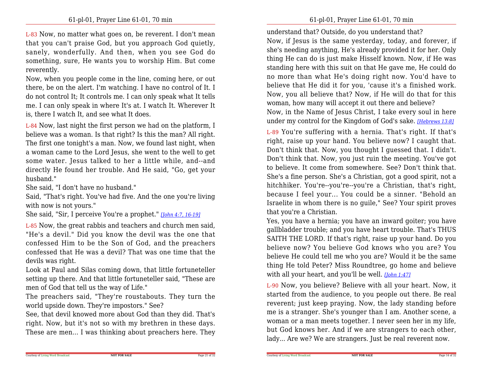L-83 Now, no matter what goes on, be reverent. I don't mean that you can't praise God, but you approach God quietly, sanely, wonderfully. And then, when you see God do something, sure, He wants you to worship Him. But comereverently.

Now, when you people come in the line, coming here, or out there, be on the alert. I'm watching. I have no control of It. I do not control It; It controls me. I can only speak what It tells me. I can only speak in where It's at. I watch It. Wherever Itis, there I watch It, and see what It does.

L-84 Now, last night the first person we had on the platform, I believe was a woman. Is that right? Is this the man? All right.The first one tonight's a man. Now, we found last night, when a woman came to the Lord Jesus, she went to the well to get some water. Jesus talked to her a little while, and--and directly He found her trouble. And He said, "Go, get yourhusband."

She said, "I don't have no husband."

 Said, "That's right. You've had five. And the one you're livingwith now is not yours."

She said, "Sir, I perceive You're a prophet." *[John 4:7, 16-19]*

L-85 Now, the great rabbis and teachers and church men said, "He's a devil." Did you know the devil was the one that confessed Him to be the Son of God, and the preachers confessed that He was a devil? That was one time that thedevils was right.

Look at Paul and Silas coming down, that little fortuneteller setting up there. And that little fortuneteller said, "These aremen of God that tell us the way of Life."

 The preachers said, "They're roustabouts. They turn theworld upside down. They're impostors." See?

 See, that devil knowed more about God than they did. That's right. Now, but it's not so with my brethren in these days.These are men... I was thinking about preachers here. They understand that? Outside, do you understand that?

 Now, if Jesus is the same yesterday, today, and forever, if she's needing anything, He's already provided it for her. Only thing He can do is just make Hisself known. Now, if He was standing here with this suit on that He gave me, He could do no more than what He's doing right now. You'd have to believe that He did it for you, 'cause it's a finished work.Now, you all believe that? Now, if He will do that for thiswoman, how many will accept it out there and believe?

 Now, in the Name of Jesus Christ, I take every soul in hereunder my control for the Kingdom of God's sake. *[Hebrews 13:8]*

L-89 You're suffering with a hernia. That's right. If that's right, raise up your hand. You believe now? I caught that. Don't think that. Now, you thought I guessed that. I didn't.Don't think that. Now, you just ruin the meeting. You've got to believe. It come from somewhere. See? Don't think that. She's a fine person. She's a Christian, got a good spirit, not a hitchhiker. You're--you're--you're a Christian, that's right, because I feel your... You could be a sinner. "Behold an Israelite in whom there is no guile," See? Your spirit provesthat you're a Christian.

Yes, you have a hernia; you have an inward goiter; you have gallbladder trouble; and you have heart trouble. That's THUS SAITH THE LORD. If that's right, raise up your hand. Do you believe now? You believe God knows who you are? You believe He could tell me who you are? Would it be the same thing He told Peter? Miss Roundtree, go home and believewith all your heart, and you'll be well. *[John 1:47]*

L-90 Now, you believe? Believe with all your heart. Now, it started from the audience, to you people out there. Be realreverent; just keep praying. Now, the lady standing before me is a stranger. She's younger than I am. Another scene, a woman or a man meets together. I never seen her in my life, but God knows her. And if we are strangers to each other,lady... Are we? We are strangers. Just be real reverent now.

Page 21 of 32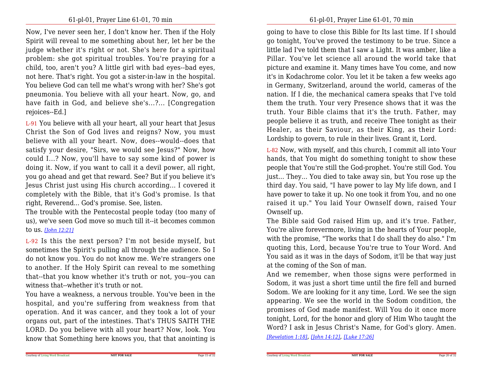Now, I've never seen her, I don't know her. Then if the Holy Spirit will reveal to me something about her, let her be the judge whether it's right or not. She's here for a spiritualproblem: she got spiritual troubles. You're praying for a child, too, aren't you? A little girl with bad eyes--bad eyes,not here. That's right. You got a sister-in-law in the hospital.You believe God can tell me what's wrong with her? She's got pneumonia. You believe with all your heart. Now, go, and have faith in God, and believe she's...?... [Congregationrejoices--Ed.]

L-91 You believe with all your heart, all your heart that Jesus Christ the Son of God lives and reigns? Now, you must believe with all your heart. Now, does--would--does that satisfy your desire, "Sirs, we would see Jesus?" Now, how could I...? Now, you'll have to say some kind of power is doing it. Now, if you want to call it a devil power, all right, you go ahead and get that reward. See? But if you believe it's Jesus Christ just using His church according... I covered it completely with the Bible, that it's God's promise. Is thatright, Reverend... God's promise. See, listen.

 The trouble with the Pentecostal people today (too many of us), we've seen God move so much till it--it becomes commonto us. *[John 12:21]*

L-92 Is this the next person? I'm not beside myself, but sometimes the Spirit's pulling all through the audience. So I do not know you. You do not know me. We're strangers one to another. If the Holy Spirit can reveal to me something that--that you know whether it's truth or not, you--you canwitness that--whether it's truth or not.

 You have a weakness, a nervous trouble. You've been in the hospital, and you're suffering from weakness from that operation. And it was cancer, and they took a lot of your organs out, part of the intestines. That's THUS SAITH THE LORD. Do you believe with all your heart? Now, look. Youknow that Something here knows you, that that anointing is going to have to close this Bible for Its last time. If I should go tonight, You've proved the testimony to be true. Since a little lad I've told them that I saw a Light. It was amber, like a Pillar. You've let science all around the world take that picture and examine it. Many times have You come, and now it's in Kodachrome color. You let it be taken a few weeks ago in Germany, Switzerland, around the world, cameras of the nation. If I die, the mechanical camera speaks that I've told them the truth. Your very Presence shows that it was the truth. Your Bible claims that it's the truth. Father, may people believe it as truth, and receive Thee tonight as their Healer, as their Saviour, as their King, as their Lord:Lordship to govern, to rule in their lives. Grant it, Lord.

L-82 Now, with myself, and this church, I commit all into Your hands, that You might do something tonight to show these people that You're still the God-prophet. You're still God. You just... They... You died to take away sin, but You rose up the third day. You said, "I have power to lay My life down, and I have power to take it up. No one took it from You, and no one raised it up." You laid Your Ownself down, raised YourOwnself up.

The Bible said God raised Him up, and it's true. Father, You're alive forevermore, living in the hearts of Your people,with the promise, "The works that I do shall they do also." I'm quoting this, Lord, because You're true to Your Word. And You said as it was in the days of Sodom, it'll be that way justat the coming of the Son of man.

 And we remember, when those signs were performed in Sodom, it was just a short time until the fire fell and burned Sodom. We are looking for it any time, Lord. We see the sign appearing. We see the world in the Sodom condition, the promises of God made manifest. Will You do it once more tonight, Lord, for the honor and glory of Him Who taught theWord? I ask in Jesus Christ's Name, for God's glory. Amen.

*[Revelation 1:18]*, *[John 14:12]*, *[Luke 17:26]*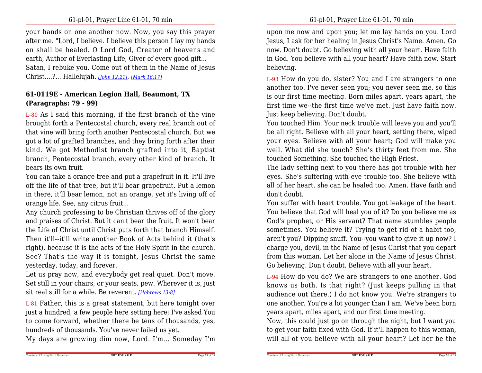your hands on one another now. Now, you say this prayer after me. "Lord, I believe. I believe this person I lay my hands on shall be healed. O Lord God, Creator of heavens andearth, Author of Everlasting Life, Giver of every good gift...Satan, I rebuke you. Come out of them in the Name of JesusChrist....?... Hallelujah. *[John 12:21]*, *[Mark 16:17]*

## **61-0119E - American Legion Hall, Beaumont, TX(Paragraphs: 79 - 99)**

L-80 As I said this morning, if the first branch of the vine brought forth a Pentecostal church, every real branch out of that vine will bring forth another Pentecostal church. But we got a lot of grafted branches, and they bring forth after their kind. We got Methodist branch grafted into it, Baptist branch, Pentecostal branch, every other kind of branch. Itbears its own fruit.

You can take a orange tree and put a grapefruit in it. It'll live off the life of that tree, but it'll bear grapefruit. Put a lemon in there, it'll bear lemon, not an orange, yet it's living off oforange life. See, any citrus fruit...

Any church professing to be Christian thrives off of the glory and praises of Christ. But it can't bear the fruit. It won't bear the Life of Christ until Christ puts forth that branch Himself.Then it'll--it'll write another Book of Acts behind it (that's right), because it is the acts of the Holy Spirit in the church.See? That's the way it is tonight, Jesus Christ the sameyesterday, today, and forever.

Let us pray now, and everybody get real quiet. Don't move. Set still in your chairs, or your seats, pew. Wherever it is, justsit real still for a while. Be reverent. *[Hebrews 13:8]*

L-81 Father, this is a great statement, but here tonight over just a hundred, a few people here setting here; I've asked You to come forward, whether there be tens of thousands, yes,hundreds of thousands. You've never failed us yet.

My days are growing dim now, Lord. I'm... Someday I'm

upon me now and upon you; let me lay hands on you. Lord Jesus, I ask for her healing in Jesus Christ's Name. Amen. Go now. Don't doubt. Go believing with all your heart. Have faith in God. You believe with all your heart? Have faith now. Startbelieving.

L-93 How do you do, sister? You and I are strangers to one another too. I've never seen you; you never seen me, so this is our first time meeting. Born miles apart, years apart, the first time we--the first time we've met. Just have faith now.Just keep believing. Don't doubt.

You touched Him. Your neck trouble will leave you and you'll be all right. Believe with all your heart, setting there, wiped your eyes. Believe with all your heart; God will make you well. What did she touch? She's thirty feet from me. Shetouched Something. She touched the High Priest.

The lady setting next to you there has got trouble with her eyes. She's suffering with eye trouble too. She believe with all of her heart, she can be healed too. Amen. Have faith anddon't doubt.

You suffer with heart trouble. You got leakage of the heart. You believe that God will heal you of it? Do you believe me as God's prophet, or His servant? That name stumbles people sometimes. You believe it? Trying to get rid of a habit too,aren't you? Dipping snuff. You--you want to give it up now? I charge you, devil, in the Name of Jesus Christ that you depart from this woman. Let her alone in the Name of Jesus Christ.Go believing. Don't doubt. Believe with all your heart.

L-94 How do you do? We are strangers to one another. God knows us both. Is that right? (Just keeps pulling in that audience out there.) I do not know you. We're strangers to one another. You're a lot younger than I am. We've been bornyears apart, miles apart, and our first time meeting.

Now, this could just go on through the night, but I want you to get your faith fixed with God. If it'll happen to this woman,will all of you believe with all your heart? Let her be the

**NOT FOR SALE**